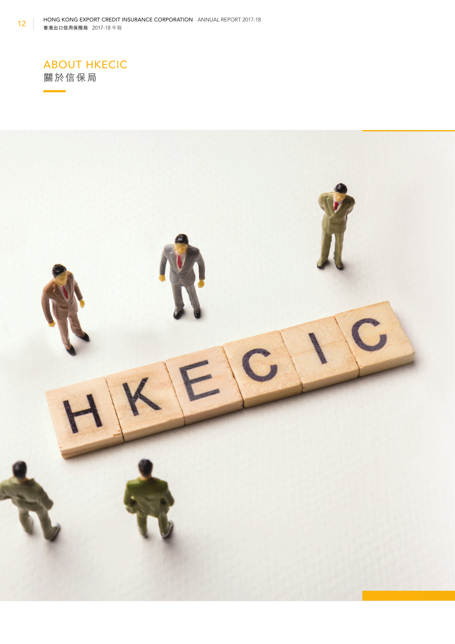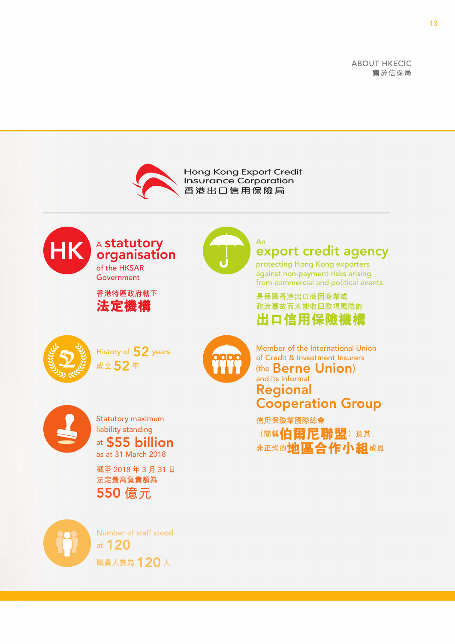

Hong Kong Export Credit **Insurance Corporation** 香港出口信用保險局

### A statutory HK organisation of the HKSAR Government

**香港特區政府轄下 法定機構**



# An export credit agency

protecting Hong Kong exporters against non-payment risks arising from commercial and political events

**是保障香港出口商因商業或 政治事故而未能收回款項風險的**

**出口信用保險機構**



History of 52 years **成立** 52 **<sup>年</sup>**



Member of the International Union of Credit & Investment Insurers (the Berne Union) and its informal Regional Cooperation Group

**信用保險業國際總會** (簡稱伯爾尼聯盟)及其 非正式的**地區合作小組**成員



Statutory maximum liability standing at \$55 billion as at 31 March 2018

**截至** 2018 **年** 3 **月** 31 **日 法定最高負責額為** 550 **億元**



Number of staff stood at 120 **職員人數為** 120 **<sup>人</sup>**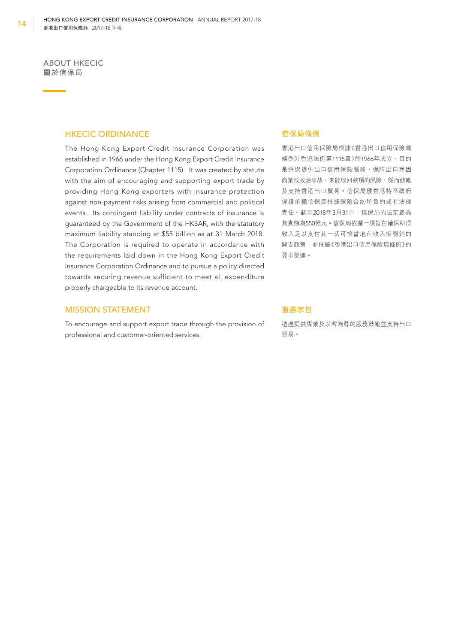### **HKECIC ORDINANCE http://www.francelling.com/default/beam/default/beam/default/**

The Hong Kong Export Credit Insurance Corporation was 香港出口信用保險局根據《香港出口信用保險局 established in 1966 under the Hong Kong Export Credit Insurance 條例》(香港法例第1115章)於1966年成立,目的 Corporation Ordinance (Chapter 1115). It was created by statute 是透過提供出口信用保險服務,保障出口商因 with the aim of encouraging and supporting export trade by <br> **EXEL TO A THO A THO A THO A THO A THO A THO A THO A THO A THO A THO A THO A THO A THO A THO A THO A THO A THO A THO A THO A THO A THO A THO A THO A THO A THO A** providing Hong Kong exporters with insurance protection 及支持香港出口貿易。信保局獲香港特區政府 against non-payment risks arising from commercial and political 保證承擔信保局根據保險合約所負的或有法律 events. Its contingent liability under contracts of insurance is 責任。截至2018年3月31日,信保局的法定最高 guaranteed by the Government of the HKSAR, with the statutory 負責額為550億元。信保局依循一項旨在確保所得 maximum liability standing at \$55 billion as at 31 March 2018. 收入足以支付其一切可恰當地在收入帳報銷的 The Corporation is required to operate in accordance with 開支政策,並根據《香港出口信用保險局條例》的 the requirements laid down in the Hong Kong Export Credit 要求營運。 Insurance Corporation Ordinance and to pursue a policy directed towards securing revenue sufficient to meet all expenditure properly chargeable to its revenue account.

### **MISSION STATEMENT WEBSTARF STATEMENT**

To encourage and support export trade through the provision of 透過提供專業及以客為尊的服務鼓勵並支持出口 professional and customer-oriented services. <br>
图易。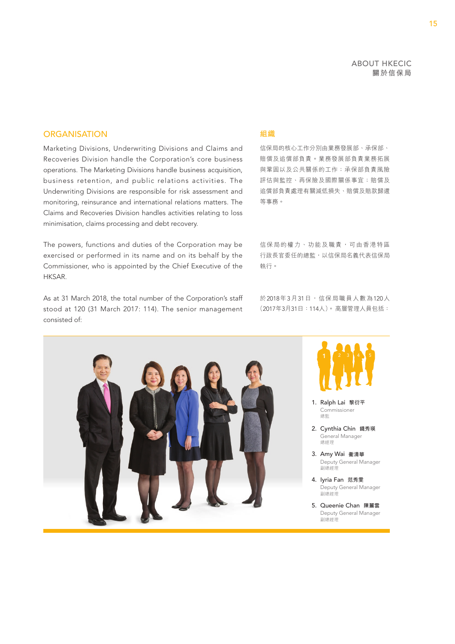### ORGANISATION **組織**

Marketing Divisions, Underwriting Divisions and Claims and 信保局的核心工作分別由業務發展部、承保部、 Recoveries Division handle the Corporation's core business 賠償及追償部負責。業務發展部負責業務拓展 operations. The Marketing Divisions handle business acquisition, <br>
<br>
9.<br>
<br>
9.<br>

9.<br>

9.<br>

9.<br>  $\mathbb{R}^*$ <br>  $\mathbb{R}^*$   $\mathbb{R}^*$   $\mathbb{R}^*$   $\mathbb{R}^*$   $\mathbb{R}^*$   $\mathbb{R}^*$   $\mathbb{R}^*$   $\mathbb{R}^*$   $\mathbb{R}^*$   $\mathbb{R}^*$   $\mathbb$ business retention, and public relations activities. The 評估與監控、再保險及國際關係事宜;賠償及 Underwriting Divisions are responsible for risk assessment and 追償部負責處理有關減低損失、賠償及賠款歸還 monitoring, reinsurance and international relations matters. The 等事務。 Claims and Recoveries Division handles activities relating to loss minimisation, claims processing and debt recovery.

The powers, functions and duties of the Corporation may be 信保局的權力、功能及職責,可由香港特區 exercised or performed in its name and on its behalf by the 行政長官委任的總監, 以信保局名義代表信保局 Commissioner, who is appointed by the Chief Executive of the <br>  $\qquad$  執行。 HKSAR.

As at 31 March 2018, the total number of the Corporation's staff 於2018年3月31日,信保局職員人數為120人 stood at 120 (31 March 2017: 114). The senior management (2017年3月31日:114人)。高層管理人員包括: consisted of:





- 1. Ralph Lai **黎衍平** Commissioner 總監
- 2. Cynthia Chin **錢秀瑛** General Manager 總經理
- 3. Amy Wai **衞清華** Deputy General Manager 副總經理
- 4. Iyria Fan **范秀雯** Deputy General Manager 副總經理
- 5. Queenie Chan **陳麗雲** Deputy General Manager 副總經理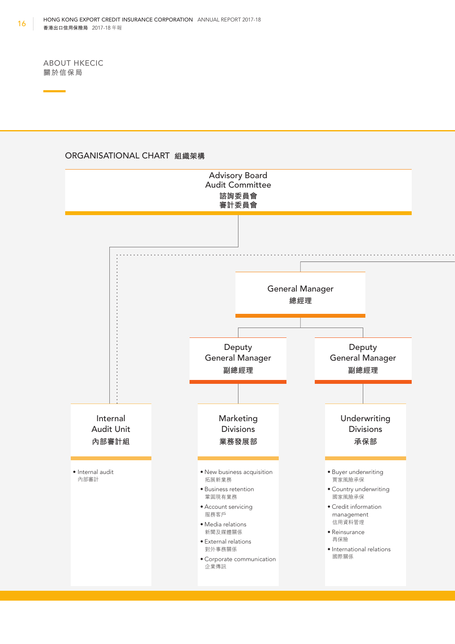# ORGANISATIONAL CHART **組織架構**

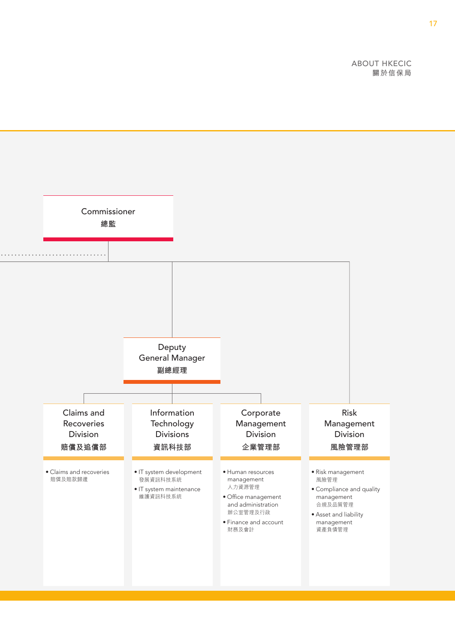